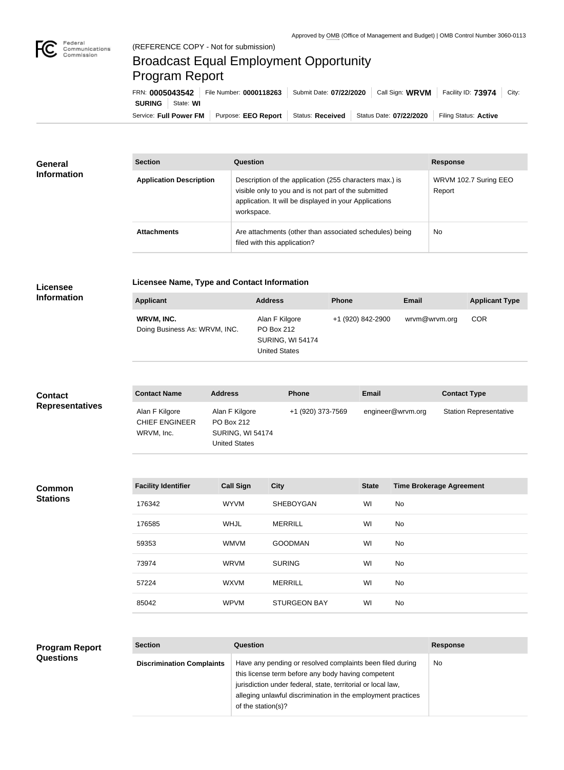

## Broadcast Equal Employment Opportunity Program Report

| FRN: 0005043542            | File Number: 0000118263 | Submit Date: 07/22/2020 | Call Sign: WRVM         | Facility ID: 73974<br>City: |
|----------------------------|-------------------------|-------------------------|-------------------------|-----------------------------|
| <b>SURING</b><br>State: WI |                         |                         |                         |                             |
| Service: Full Power FM     | Purpose: EEO Report     | Status: Received        | Status Date: 07/22/2020 | Filing Status: Active       |

| <b>General</b>     | <b>Section</b><br>Question<br><b>Response</b><br>Description of the application (255 characters max.) is<br><b>Application Description</b><br>visible only to you and is not part of the submitted<br>Report |                                                                                         |                       |
|--------------------|--------------------------------------------------------------------------------------------------------------------------------------------------------------------------------------------------------------|-----------------------------------------------------------------------------------------|-----------------------|
| <b>Information</b> |                                                                                                                                                                                                              | application. It will be displayed in your Applications<br>workspace.                    | WRVM 102.7 Suring EEO |
|                    | <b>Attachments</b>                                                                                                                                                                                           | Are attachments (other than associated schedules) being<br>filed with this application? | <b>No</b>             |

## **Licensee Information**

## **Licensee Name, Type and Contact Information**

| <b>Applicant</b>                            | <b>Address</b>                                                                         | <b>Phone</b>      | <b>Email</b>  | <b>Applicant Type</b> |
|---------------------------------------------|----------------------------------------------------------------------------------------|-------------------|---------------|-----------------------|
| WRVM, INC.<br>Doing Business As: WRVM, INC. | Alan F Kilgore<br><b>PO Box 212</b><br><b>SURING, WI 54174</b><br><b>United States</b> | +1 (920) 842-2900 | wrvm@wrvm.org | <b>COR</b>            |

| <b>Contact</b>         | <b>Contact Name</b>                                   | <b>Address</b>                                                                  | <b>Phone</b>      | Email             | <b>Contact Type</b>           |
|------------------------|-------------------------------------------------------|---------------------------------------------------------------------------------|-------------------|-------------------|-------------------------------|
| <b>Representatives</b> | Alan F Kilgore<br><b>CHIEF ENGINEER</b><br>WRVM, Inc. | Alan F Kilgore<br>PO Box 212<br><b>SURING, WI 54174</b><br><b>United States</b> | +1 (920) 373-7569 | engineer@wrvm.org | <b>Station Representative</b> |

| Common          | <b>Facility Identifier</b> | <b>Call Sign</b> | <b>City</b>         | <b>State</b> | <b>Time Brokerage Agreement</b> |
|-----------------|----------------------------|------------------|---------------------|--------------|---------------------------------|
| <b>Stations</b> | 176342                     | <b>WYVM</b>      | <b>SHEBOYGAN</b>    | WI           | No                              |
|                 | 176585                     | <b>WHJL</b>      | <b>MERRILL</b>      | WI           | No                              |
|                 | 59353                      | <b>WMVM</b>      | <b>GOODMAN</b>      | WI           | No                              |
|                 | 73974                      | <b>WRVM</b>      | <b>SURING</b>       | WI           | No                              |
|                 | 57224                      | <b>WXVM</b>      | <b>MERRILL</b>      | WI           | No                              |
|                 | 85042                      | <b>WPVM</b>      | <b>STURGEON BAY</b> | WI           | No                              |

| <b>Program Report</b> | <b>Section</b>                   | <b>Question</b>                                                                                                                                                                                                                                                       | <b>Response</b> |
|-----------------------|----------------------------------|-----------------------------------------------------------------------------------------------------------------------------------------------------------------------------------------------------------------------------------------------------------------------|-----------------|
| <b>Questions</b>      | <b>Discrimination Complaints</b> | Have any pending or resolved complaints been filed during<br>this license term before any body having competent<br>jurisdiction under federal, state, territorial or local law,<br>alleging unlawful discrimination in the employment practices<br>of the station(s)? | No.             |